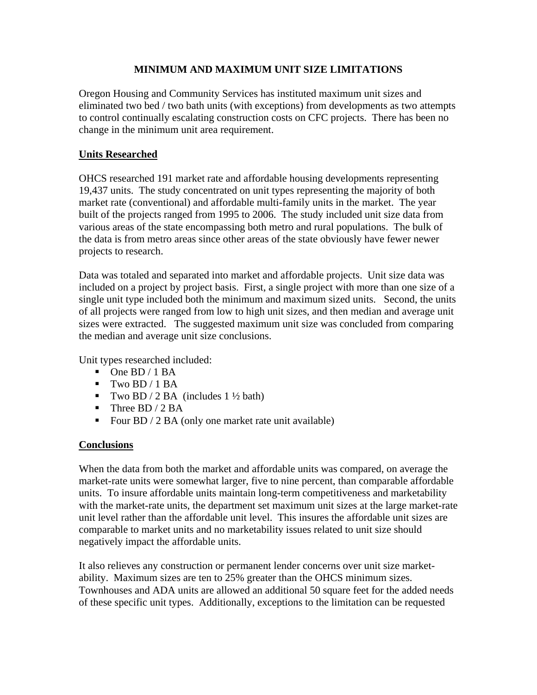#### **MINIMUM AND MAXIMUM UNIT SIZE LIMITATIONS**

Oregon Housing and Community Services has instituted maximum unit sizes and eliminated two bed / two bath units (with exceptions) from developments as two attempts to control continually escalating construction costs on CFC projects. There has been no change in the minimum unit area requirement.

## **Units Researched**

OHCS researched 191 market rate and affordable housing developments representing 19,437 units. The study concentrated on unit types representing the majority of both market rate (conventional) and affordable multi-family units in the market. The year built of the projects ranged from 1995 to 2006. The study included unit size data from various areas of the state encompassing both metro and rural populations. The bulk of the data is from metro areas since other areas of the state obviously have fewer newer projects to research.

Data was totaled and separated into market and affordable projects. Unit size data was included on a project by project basis. First, a single project with more than one size of a single unit type included both the minimum and maximum sized units. Second, the units of all projects were ranged from low to high unit sizes, and then median and average unit sizes were extracted. The suggested maximum unit size was concluded from comparing the median and average unit size conclusions.

Unit types researched included:

- $\blacksquare$  One BD / 1 BA
- $\blacksquare$  Two BD / 1 BA
- Two BD / 2 BA (includes  $1\frac{1}{2}$  bath)
- $\blacksquare$  Three BD / 2 BA
- Four BD  $/ 2$  BA (only one market rate unit available)

## **Conclusions**

When the data from both the market and affordable units was compared, on average the market-rate units were somewhat larger, five to nine percent, than comparable affordable units. To insure affordable units maintain long-term competitiveness and marketability with the market-rate units, the department set maximum unit sizes at the large market-rate unit level rather than the affordable unit level. This insures the affordable unit sizes are comparable to market units and no marketability issues related to unit size should negatively impact the affordable units.

It also relieves any construction or permanent lender concerns over unit size marketability. Maximum sizes are ten to 25% greater than the OHCS minimum sizes. Townhouses and ADA units are allowed an additional 50 square feet for the added needs of these specific unit types. Additionally, exceptions to the limitation can be requested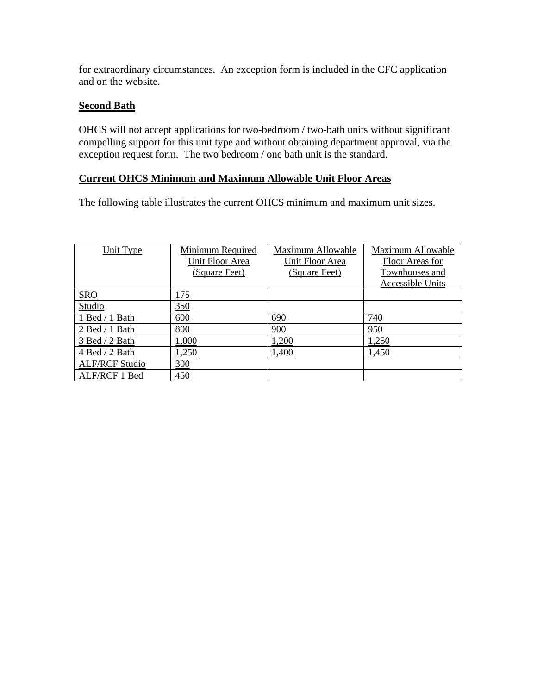for extraordinary circumstances. An exception form is included in the CFC application and on the website.

## **Second Bath**

OHCS will not accept applications for two-bedroom / two-bath units without significant compelling support for this unit type and without obtaining department approval, via the exception request form. The two bedroom / one bath unit is the standard.

## **Current OHCS Minimum and Maximum Allowable Unit Floor Areas**

The following table illustrates the current OHCS minimum and maximum unit sizes.

| Unit Type             | Minimum Required | Maximum Allowable | Maximum Allowable |
|-----------------------|------------------|-------------------|-------------------|
|                       | Unit Floor Area  | Unit Floor Area   | Floor Areas for   |
|                       | (Square Feet)    | (Square Feet)     | Townhouses and    |
|                       |                  |                   | Accessible Units  |
| <b>SRO</b>            | 175              |                   |                   |
| Studio                | 350              |                   |                   |
| 1 Bed / 1 Bath        | 600              | 690               | 740               |
| 2 Bed / 1 Bath        | 800              | 900               | 950               |
| 3 Bed / 2 Bath        | 1,000            | 1,200             | 1,250             |
| 4 Bed / 2 Bath        | 1,250            | 1,400             | 1,450             |
| <b>ALF/RCF Studio</b> | 300              |                   |                   |
| ALF/RCF 1 Bed         | 450              |                   |                   |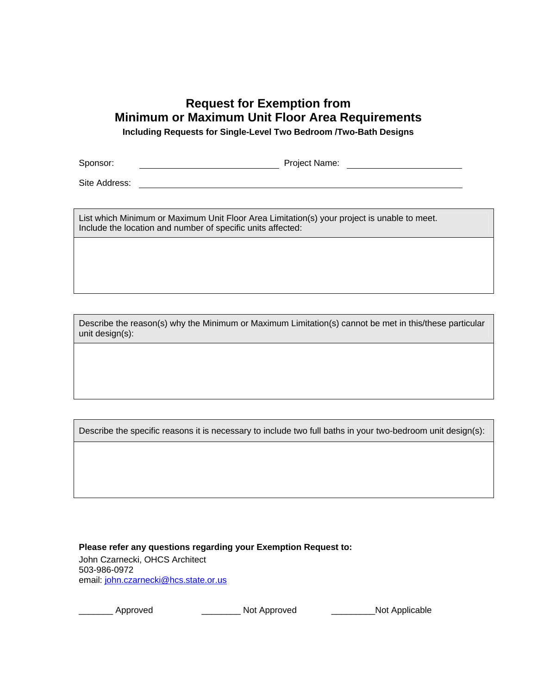# **Request for Exemption from Minimum or Maximum Unit Floor Area Requirements**

**Including Requests for Single-Level Two Bedroom /Two-Bath Designs** 

Sponsor: Project Name:

Site Address:

List which Minimum or Maximum Unit Floor Area Limitation(s) your project is unable to meet. Include the location and number of specific units affected:

Describe the reason(s) why the Minimum or Maximum Limitation(s) cannot be met in this/these particular unit design(s):

Describe the specific reasons it is necessary to include two full baths in your two-bedroom unit design(s):

**Please refer any questions regarding your Exemption Request to:** 

John Czarnecki, OHCS Architect 503-986-0972 email: [john.czarnecki@hcs.state.or.us](mailto:john.czarnecki@hcs.state.or.us)

\_\_\_\_\_\_\_ Approved \_\_\_\_\_\_\_\_ Not Approved \_\_\_\_\_\_\_\_\_Not Applicable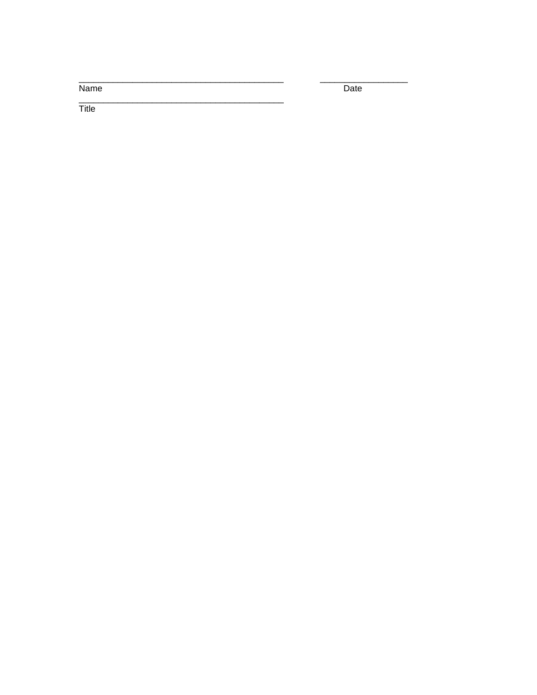Name

Date

 $\overline{\mathsf{Title}}$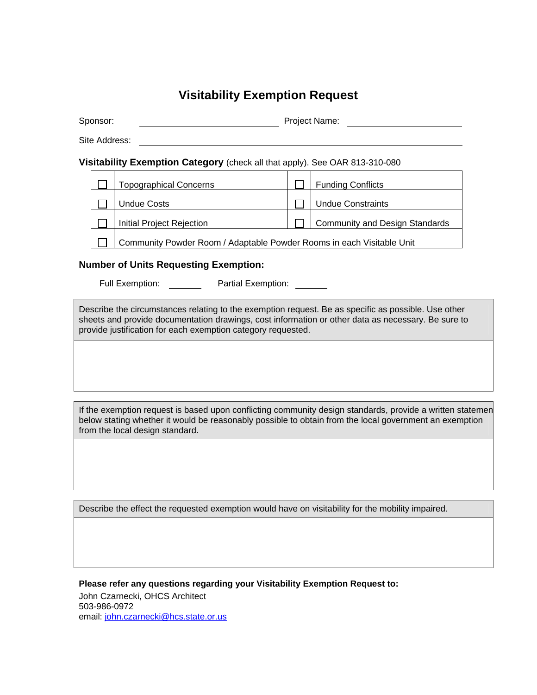## **Visitability Exemption Request**

| Sponsor: | Project Name: |  |
|----------|---------------|--|
|          |               |  |

Site Address:

#### **Visitability Exemption Category** (check all that apply). See OAR 813-310-080

| <b>Topographical Concerns</b>                                         |  | <b>Funding Conflicts</b>              |
|-----------------------------------------------------------------------|--|---------------------------------------|
| Undue Costs                                                           |  | <b>Undue Constraints</b>              |
| <b>Initial Project Rejection</b>                                      |  | <b>Community and Design Standards</b> |
| Community Powder Room / Adaptable Powder Rooms in each Visitable Unit |  |                                       |

#### **Number of Units Requesting Exemption:**

Full Exemption: Partial Exemption:

Describe the circumstances relating to the exemption request. Be as specific as possible. Use other sheets and provide documentation drawings, cost information or other data as necessary. Be sure to provide justification for each exemption category requested.

If the exemption request is based upon conflicting community design standards, provide a written statemen below stating whether it would be reasonably possible to obtain from the local government an exemption from the local design standard.

Describe the effect the requested exemption would have on visitability for the mobility impaired.

**Please refer any questions regarding your Visitability Exemption Request to:** 

John Czarnecki, OHCS Architect 503-986-0972 email: [john.czarnecki@hcs.state.or.us](mailto:john.czarnecki@hcs.state.or.us)